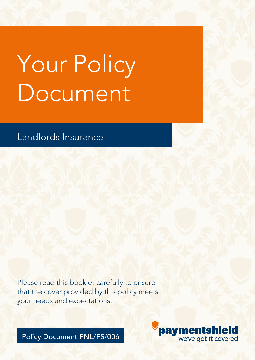# Your Policy Document

# Landlords Insurance

Please read this booklet carefully to ensure that the cover provided by this policy meets your needs and expectations.

Policy Document PNL/PS/006

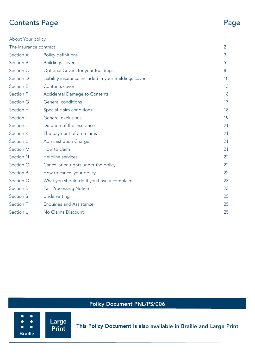# Contents Page Page

| About Your policy      |                                                      |    |
|------------------------|------------------------------------------------------|----|
| The insurance contract |                                                      | 2  |
| Section A              | Policy definitions                                   | 3  |
| Section B              | <b>Buildings cover</b>                               | 5  |
| Section C              | Optional Covers for your Buildings                   | 8  |
| Section D              | Liability insurance included in your Buildings cover | 10 |
| Section E              | Contents cover                                       | 13 |
| Section F              | <b>Accidental Damage to Contents</b>                 | 16 |
| Section G              | General conditions                                   | 17 |
| Section H              | Special claim conditions                             | 18 |
| Section I              | General exclusions                                   | 19 |
| Section J              | Duration of the insurance                            | 21 |
| Section K              | The payment of premiums                              | 21 |
| Section L              | <b>Administration Charge</b>                         | 21 |
| Section M              | How to claim                                         | 21 |
| <b>Section N</b>       | Helpline services                                    | 22 |
| Section O              | Cancellation rights under the policy                 | 22 |
| Section P              | How to cancel your policy                            | 22 |
| Section Q              | What you should do if you have a complaint           | 23 |
| Section R              | <b>Fair Processing Notice</b>                        | 23 |
| Section S              | Underwriting                                         | 25 |
| Section T              | <b>Enquiries and Assistance</b>                      | 25 |
| Section U              | No Claims Discount                                   | 25 |
|                        |                                                      |    |

## Policy Document PNL/PS/006

 $\bullet$ 

 $\bullet$ 

 $\bullet$ 

This Policy Document is also available in Braille and Large Print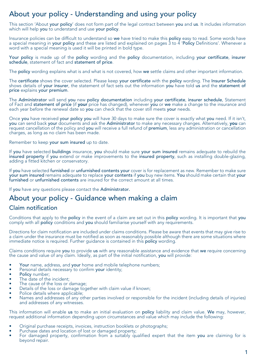# About your policy - Understanding and using your policy

This section 'About your policy' does not form part of the legal contract between you and us. It includes information which will help you to understand and use your policy.

Insurance policies can be difficult to understand so we have tried to make this policy easy to read. Some words have a special meaning in your policy and these are listed and explained on pages 3 to 4 'Policy Definitions'. Whenever a word with a special meaning is used it will be printed in bold type.

Your policy is made up of the policy wording and the policy documentation, including your certificate, insurer schedule, statement of fact and statement of price.

The policy wording explains what is and what is not covered, how we settle claims and other important information.

The certificate shows the cover selected. Please keep your certificate with the policy wording. The Insurer Schedule shows details of your insurer, the statement of fact sets out the information you have told us and the statement of price explains your premium.

The Administrator will send you new policy documentation including your certificate, insurer schedule, Statement of Fact and statement of price (if your price has changed), whenever you or we make a change to the insurance and each year before the renewal date so you can check that the cover still meets your needs.

Once you have received your policy you will have 30 days to make sure the cover is exactly what you need. If it isn't, you can send back your documents and ask the Administrator to make any necessary changes. Alternatively, you can request cancellation of the policy and you will receive a full refund of premium, less any administration or cancellation charges, as long as no claim has been made.

Remember to keep your sum insured up to date.

If you have selected buildings insurance, you should make sure your sum insured remains adequate to rebuild the insured property if you extend or make improvements to the insured property, such as installing double-glazing, adding a fitted kitchen or conservatory.

If you have selected furnished or unfurnished contents your cover is for replacement as new. Remember to make sure your sum insured remains adequate to replace your contents if you buy new items. You should make certain that your<br>furnished or unfurnished contents are insured for the correct amount at all times.

If you have any questions please contact the Administrator.

# About your policy - Guidance when making a claim

#### Claim notification

Conditions that apply to the policy in the event of a claim are set out in this policy wording. It is important that you comply with all policy conditions and you should familiarise yourself with any requirements.

Directions for claim notification are included under claims conditions. Please be aware that events that may give rise to a claim under the insurance must be notified as soon as reasonably possible although there are some situations where immediate notice is required. Further guidance is contained in this policy wording.

Claims conditions require you to provide us with any reasonable assistance and evidence that we require concerning the cause and value of any claim. Ideally, as part of the initial notification, you will provide:

- Your name, address, and your home and mobile telephone numbers;
- Personal details necessary to confirm your identity;
- Policy number;
- The date of the incident;
- The cause of the loss or damage:
- Details of the loss or damage together with claim value if known;
- Police details where applicable;
- Names and addresses of any other parties involved or responsible for the incident (including details of injuries) and addresses of any witnesses.

This information will enable us to make an initial evaluation on policy liability and claim value. We may, however, request additional information depending upon circumstances and value which may include the following:

- Original purchase receipts, invoices, instruction booklets or photographs;
- Purchase dates and location of lost or damaged property:
- For damaged property, confirmation from a suitably qualified expert that the item you are claiming for is beyond repair.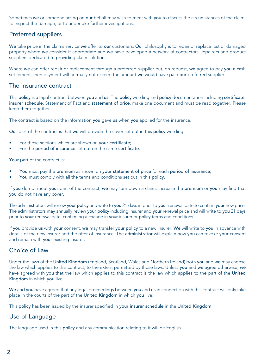Sometimes we or someone acting on our behalf may wish to meet with you to discuss the circumstances of the claim, to inspect the damage, or to undertake further investigations.

#### Preferred suppliers

We take pride in the claims service we offer to our customers. Our philosophy is to repair or replace lost or damaged property where we consider it appropriate and we have developed a network of contractors, repairers and product suppliers dedicated to providing claim solutions.

Where we can offer repair or replacement through a preferred supplier but, on request, we agree to pay you a cash settlement, then payment will normally not exceed the amount we would have paid our preferred supplier.

#### The insurance contract

This policy is a legal contract between you and us. The policy wording and policy documentation including certificate, insurer schedule, Statement of Fact and statement of price, make one document and must be read together. Please keep them together.

The contract is based on the information you gave us when you applied for the insurance.

Our part of the contract is that we will provide the cover set out in this policy wording:

- For those sections which are shown on your certificate;
- For the period of insurance set out on the same certificate.

Your part of the contract is:

- You must pay the premium as shown on your statement of price for each period of insurance;
- You must comply with all the terms and conditions set out in this policy.

If you do not meet your part of the contract, we may turn down a claim, increase the premium or you may find that you do not have any cover.

The administrators will renew your policy and write to you 21 days in prior to your renewal date to confirm your new price. The administrators may annually review your policy including insurer and your renewal price and will write to you 21 days prior to your renewal date, confirming a change in your insurer or policy terms and conditions.

If you provide us with your consent, we may transfer your policy to a new insurer. We will write to you in advance with details of the new insurer and the offer of insurance. The administrator will explain how you can revoke your consent and remain with your existing insurer.

#### Choice of Law

Under the laws of the United Kingdom (England, Scotland, Wales and Northern Ireland) both you and we may choose the law which applies to this contract, to the extent permitted by those laws. Unless you and we agree otherwise, we have agreed with you that the law which applies to this contract is the law which applies to the part of the United Kingdom in which you live.

We and you have agreed that any legal proceedings between you and us in connection with this contract will only take place in the courts of the part of the United Kingdom in which you live.

This policy has been issued by the insurer specified in your insurer schedule in the United Kingdom.

#### Use of Language

The language used in this policy and any communication relating to it will be English.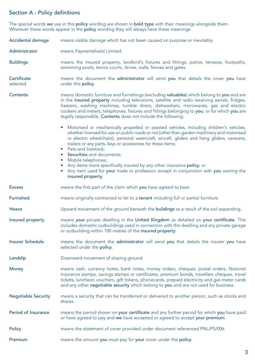#### Section A - Policy definitions

The special words **we** use in this **policy** wording are shown in **bold type** with their meanings alongside them. Wherever these words appear in the **policy** wording they will always have these meanings.

| Accidental damage          | means visible damage which has not been caused on purpose or inevitably.                                                                                                                                                                                                                                                                                                                                                                                                                                                                                                                                                        |  |  |
|----------------------------|---------------------------------------------------------------------------------------------------------------------------------------------------------------------------------------------------------------------------------------------------------------------------------------------------------------------------------------------------------------------------------------------------------------------------------------------------------------------------------------------------------------------------------------------------------------------------------------------------------------------------------|--|--|
| Administrator              | means Paymentshield Limited.                                                                                                                                                                                                                                                                                                                                                                                                                                                                                                                                                                                                    |  |  |
| <b>Buildings</b>           | means the insured property, landlord's fixtures and fittings, patios, terraces, footpaths,<br>swimming pools, tennis courts, drives, walls, fences and gates.                                                                                                                                                                                                                                                                                                                                                                                                                                                                   |  |  |
| Certificate<br>selected    | means the document the administrator will send you that details the cover you have<br>under this policy.                                                                                                                                                                                                                                                                                                                                                                                                                                                                                                                        |  |  |
| Contents                   | means domestic furniture and furnishings (excluding valuables) which belong to you and are<br>in the insured property including televisions, satellite and radio receiving aerials, fridges,<br>freezers, washing machines, tumble driers, dishwashers, microwaves, gas and electric<br>cookers and meters, telephones, fixtures and fittings belonging to you, or for which you are<br>legally responsible. Contents does not include the following:                                                                                                                                                                           |  |  |
|                            | • Motorised or mechanically propelled or assisted vehicles, including children's vehicles,<br>whether licensed for use on public roads or not (other than garden machinery and motorised<br>or electric wheelchairs), personal watercraft, aircraft, gliders and hang gliders, caravans,<br>trailers or any parts, keys or accessories for these items;<br>• Pets and livestock;<br>• Securities and documents;<br>• Mobile telephones;<br>Any items more specifically insured by any other insurance policy; or<br>• Any item used for your trade or profession except in conjunction with you owning the<br>insured property. |  |  |
| <b>Excess</b>              | means the first part of the claim which you have agreed to bear.                                                                                                                                                                                                                                                                                                                                                                                                                                                                                                                                                                |  |  |
| <b>Furnished</b>           | means originally contracted to let to a tenant including full or partial furniture.                                                                                                                                                                                                                                                                                                                                                                                                                                                                                                                                             |  |  |
| Heave                      | Upward movement of the ground beneath the buildings as a result of the soil expanding.                                                                                                                                                                                                                                                                                                                                                                                                                                                                                                                                          |  |  |
| Insured property           | means your private dwelling in the United Kingdom as detailed on your certificate. This<br>includes domestic outbuildings used in connection with the dwelling and any private garage<br>or outbuilding within 100 metres of the insured property.                                                                                                                                                                                                                                                                                                                                                                              |  |  |
| <b>Insurer Schedule</b>    | means the document the administrator will send you that details the insurer you have<br>selected under the policy.                                                                                                                                                                                                                                                                                                                                                                                                                                                                                                              |  |  |
| Landslip                   | Downward movement of sloping ground.                                                                                                                                                                                                                                                                                                                                                                                                                                                                                                                                                                                            |  |  |
| Money                      | means cash, currency notes, bank notes, money orders, cheques, postal orders, National<br>Insurance stamps, savings stamps or certificates, premium bonds, travellers cheques, travel<br>tickets, luncheon vouchers, gift tokens, phonecards, prepaid electricity and gas meter cards<br>and any other negotiable security which belong to you and are not used for business.                                                                                                                                                                                                                                                   |  |  |
| <b>Negotiable Security</b> | means a security that can be transferred or delivered to another person, such as stocks and<br>shares.                                                                                                                                                                                                                                                                                                                                                                                                                                                                                                                          |  |  |
| Period of Insurance        | means the period shown on your certificate and any further period for which you have paid<br>or have agreed to pay and we have accepted or agreed to accept your premium.                                                                                                                                                                                                                                                                                                                                                                                                                                                       |  |  |
|                            |                                                                                                                                                                                                                                                                                                                                                                                                                                                                                                                                                                                                                                 |  |  |

Premium means the amount you must pay for your cover under the policy.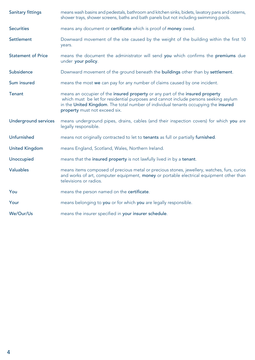| Sanitary fittings         | means wash basins and pedestals, bathroom and kitchen sinks, bidets, lavatory pans and cisterns,<br>shower trays, shower screens, baths and bath panels but not including swimming pools.                                                                                                     |  |
|---------------------------|-----------------------------------------------------------------------------------------------------------------------------------------------------------------------------------------------------------------------------------------------------------------------------------------------|--|
| <b>Securities</b>         | means any document or certificate which is proof of money owed.                                                                                                                                                                                                                               |  |
| Settlement                | Downward movement of the site caused by the weight of the building within the first 10<br>years.                                                                                                                                                                                              |  |
| <b>Statement of Price</b> | means the document the administrator will send you which confirms the premiums due<br>under your policy.                                                                                                                                                                                      |  |
| Subsidence                | Downward movement of the ground beneath the buildings other than by settlement.                                                                                                                                                                                                               |  |
| Sum insured               | means the most we can pay for any number of claims caused by one incident.                                                                                                                                                                                                                    |  |
| Tenant                    | means an occupier of the insured property or any part of the insured property<br>which must be let for residential purposes and cannot include persons seeking asylum<br>in the United Kingdom. The total number of individual tenants occupying the insured<br>property must not exceed six. |  |
| Underground services      | means underground pipes, drains, cables (and their inspection covers) for which you are<br>legally responsible.                                                                                                                                                                               |  |
| Unfurnished               | means not originally contracted to let to tenants as full or partially furnished.                                                                                                                                                                                                             |  |
| <b>United Kingdom</b>     | means England, Scotland, Wales, Northern Ireland.                                                                                                                                                                                                                                             |  |
| Unoccupied                | means that the insured property is not lawfully lived in by a tenant.                                                                                                                                                                                                                         |  |
| <b>Valuables</b>          | means items composed of precious metal or precious stones, jewellery, watches, furs, curios<br>and works of art, computer equipment, money or portable electrical equipment other than<br>televisions or radios.                                                                              |  |
| You                       | means the person named on the certificate.                                                                                                                                                                                                                                                    |  |
| Your                      | means belonging to you or for which you are legally responsible.                                                                                                                                                                                                                              |  |
| We/Our/Us                 | means the insurer specified in your insurer schedule.                                                                                                                                                                                                                                         |  |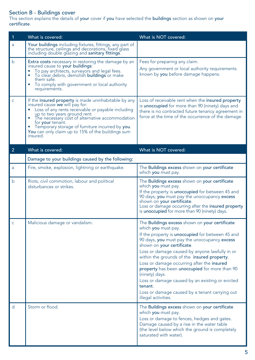#### Section B - Buildings cover

This section explains the details of your cover if you have selected the buildings section as shown on your certificate.

| $\mathbf{1}$   | What is covered:                                                                                                                                                                                                                                                                                                                                                       | What is NOT covered:                                                                                                                                                                                                                                                                                                                                                                                                                                                                                                                                             |
|----------------|------------------------------------------------------------------------------------------------------------------------------------------------------------------------------------------------------------------------------------------------------------------------------------------------------------------------------------------------------------------------|------------------------------------------------------------------------------------------------------------------------------------------------------------------------------------------------------------------------------------------------------------------------------------------------------------------------------------------------------------------------------------------------------------------------------------------------------------------------------------------------------------------------------------------------------------------|
| a              | Your buildings including fixtures, fittings, any part of<br>the structure, ceilings and decorations, fixed glass<br>including double glazing and sanitary fittings.                                                                                                                                                                                                    |                                                                                                                                                                                                                                                                                                                                                                                                                                                                                                                                                                  |
| b              | Extra costs necessary in restoring the damage by an<br>insured cause to your buildings:<br>To pay architects, surveyors and legal fees.<br>To clear debris, demolish buildings or make<br>them safe.<br>To comply with government or local authority<br>requirements.                                                                                                  | Fees for preparing any claim.<br>Any government or local authority requirements<br>known by you before damage happens.                                                                                                                                                                                                                                                                                                                                                                                                                                           |
| $\mathsf{C}$   | If the insured property is made uninhabitable by any<br>insured cause we will pay for:<br>Loss of any rents receivable or payable including<br>up to two years ground rent.<br>The necessary cost of alternative accommodation<br>for your tenant.<br>Temporary storage of furniture incurred by you.<br>You can only claim up to 15% of the buildings sum<br>insured. | Loss of receivable rent when the insured property<br>is unoccupied for more than 90 (ninety) days and<br>there is no contracted future tenancy agreement in<br>force at the time of the occurrence of the damage.                                                                                                                                                                                                                                                                                                                                                |
| $\overline{2}$ | What is covered:                                                                                                                                                                                                                                                                                                                                                       | What is NOT covered:                                                                                                                                                                                                                                                                                                                                                                                                                                                                                                                                             |
|                | Damage to your buildings caused by the following:                                                                                                                                                                                                                                                                                                                      |                                                                                                                                                                                                                                                                                                                                                                                                                                                                                                                                                                  |
| a              | Fire, smoke, explosion, lightning or earthquake.                                                                                                                                                                                                                                                                                                                       | The Buildings excess shown on your certificate<br>which you must pay.                                                                                                                                                                                                                                                                                                                                                                                                                                                                                            |
| h              | Riots, civil commotion, labour and political<br>disturbances or strikes.                                                                                                                                                                                                                                                                                               | The Buildings excess shown on your certificate<br>which you must pay.<br>If the property is unoccupied for between 45 and<br>90 days, you must pay the unoccupancy excess<br>shown on your certificate.<br>Loss or damage occurring after the insured property<br>is unoccupied for more than 90 (ninety) days.                                                                                                                                                                                                                                                  |
| $\mathsf{C}$   | Malicious damage or vandalism.                                                                                                                                                                                                                                                                                                                                         | The Buildings excess shown on your certificate<br>which you must pay.<br>If the property is unoccupied for between 45 and<br>90 days, you must pay the unoccupancy excess<br>shown on your certificate.<br>Loss or damage caused by anyone lawfully in or<br>within the grounds of the insured property.<br>Loss or damage occurring after the insured<br>property has been unoccupied for more than 90<br>(ninety) days.<br>Loss or damage caused by an existing or evicted<br>tenant.<br>Loss or damage caused by a tenant carrying out<br>illegal activities. |
| $\overline{d}$ | Storm or flood.                                                                                                                                                                                                                                                                                                                                                        | The Buildings excess shown on your certificate<br>which you must pay.<br>Loss or damage to fences, hedges and gates.<br>Damage caused by a rise in the water table<br>(the level below which the ground is completely<br>saturated with water).                                                                                                                                                                                                                                                                                                                  |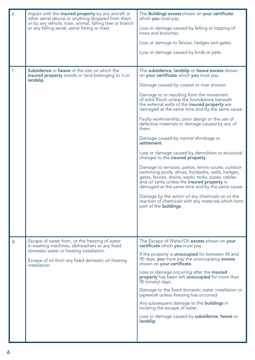| e | Impact with the insured property by any aircraft or<br>other aerial device or anything dropped from them        | The Buildings excess shown on your certificate<br>which <b>you</b> must pay.                                                                                                                                                                                     |
|---|-----------------------------------------------------------------------------------------------------------------|------------------------------------------------------------------------------------------------------------------------------------------------------------------------------------------------------------------------------------------------------------------|
|   | or by any vehicle, train, animal, falling tree or branch<br>or any falling aerial, aerial fitting or mast.      | Loss or damage caused by felling or lopping of<br>trees and branches.                                                                                                                                                                                            |
|   |                                                                                                                 | Loss or damage to fences, hedges and gates.                                                                                                                                                                                                                      |
|   |                                                                                                                 | Loss or damage caused by birds or pets.                                                                                                                                                                                                                          |
|   |                                                                                                                 |                                                                                                                                                                                                                                                                  |
| f | Subsidence or heave of the site on which the<br>insured property stands or land belonging to it or<br>landslip. | The subsidence, landslip or heave excess shown<br>on your certificate which you must pay.                                                                                                                                                                        |
|   |                                                                                                                 | Damage caused by coastal or river erosion.                                                                                                                                                                                                                       |
|   |                                                                                                                 | Damage to or resulting from the movement<br>of solid floors unless the foundations beneath<br>the external walls of the insured property are<br>damaged at the same time and by the same cause.                                                                  |
|   |                                                                                                                 | Faulty workmanship, poor design or the use of<br>defective materials or damage caused by any of<br>them.                                                                                                                                                         |
|   |                                                                                                                 | Damage caused by normal shrinkage or<br>settlement.                                                                                                                                                                                                              |
|   |                                                                                                                 | Loss or damage caused by demolition or structural<br>changes to the insured property.                                                                                                                                                                            |
|   |                                                                                                                 | Damage to terraces, patios, tennis courts, outdoor<br>swimming pools, drives, footpaths, walls, hedges,<br>gates, fences, drains, septic tanks, pipes, cables<br>and oil tanks unless the insured property is<br>damaged at the same time and by the same cause. |
|   |                                                                                                                 | Damage by the action of any chemicals on or the<br>reaction of chemicals with any materials which form<br>part of the <b>buildings</b> .                                                                                                                         |
|   |                                                                                                                 |                                                                                                                                                                                                                                                                  |
|   |                                                                                                                 |                                                                                                                                                                                                                                                                  |
|   |                                                                                                                 |                                                                                                                                                                                                                                                                  |
| g | Escape of water from, or the freezing of water<br>in washing machines, dishwashers or any fixed                 | The Escape of Water/Oil excess shown on your<br>certificate which you must pay.                                                                                                                                                                                  |
|   | domestic water or heating installation.<br>Escape of oil from any fixed domestic oil heating<br>installation.   | If the property is unoccupied for between 45 and<br>90 days, you must pay the unoccupancy excess<br>shown on your certificate.                                                                                                                                   |
|   |                                                                                                                 | Loss or damage occurring after the insured<br>property has been left unoccupied for more than<br>90 (ninety) days.                                                                                                                                               |
|   |                                                                                                                 | Damage to the fixed domestic water installation or<br>pipework unless freezing has occurred.                                                                                                                                                                     |
|   |                                                                                                                 | Any subsequent damage to the buildings in<br>locating the escape of water.                                                                                                                                                                                       |
|   |                                                                                                                 | Loss or damage caused by subsidence, heave or<br>landslip.                                                                                                                                                                                                       |
|   |                                                                                                                 |                                                                                                                                                                                                                                                                  |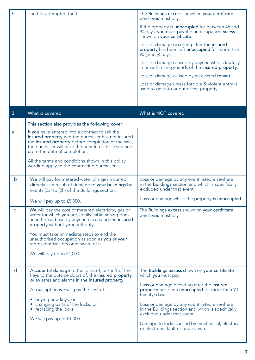| h            | Theft or attempted theft                                                                                                                                                                                                                               | The Buildings excess shown on your certificate<br>which you must pay.                                                                   |
|--------------|--------------------------------------------------------------------------------------------------------------------------------------------------------------------------------------------------------------------------------------------------------|-----------------------------------------------------------------------------------------------------------------------------------------|
|              |                                                                                                                                                                                                                                                        | If the property is <b>unoccupied</b> for between 45 and<br>90 days, you must pay the unoccupancy excess<br>shown on your certificate.   |
|              |                                                                                                                                                                                                                                                        | Loss or damage occurring after the insured<br>property has been left unoccupied for more than<br>90 (ninety) days.                      |
|              |                                                                                                                                                                                                                                                        | Loss or damage caused by anyone who is lawfully<br>in or within the grounds of the insured property.                                    |
|              |                                                                                                                                                                                                                                                        | Loss or damage caused by an evicted tenant.                                                                                             |
|              |                                                                                                                                                                                                                                                        | Loss or damage unless forcible & violent entry is<br>used to get into or out of the property.                                           |
|              |                                                                                                                                                                                                                                                        |                                                                                                                                         |
| 3            | What is covered:                                                                                                                                                                                                                                       | What is NOT covered:                                                                                                                    |
|              | This section also provides the following cover:                                                                                                                                                                                                        |                                                                                                                                         |
| a            | If you have entered into a contract to sell the<br>insured property and the purchaser has not insured<br>the insured property before completion of the sale,<br>the purchaser will have the benefit of this insurance<br>up to the date of completion. |                                                                                                                                         |
|              | All the terms and conditions shown in this policy<br>wording apply to the contracting purchaser.                                                                                                                                                       |                                                                                                                                         |
| b            | We will pay for metered water charges incurred<br>directly as a result of damage to your buildings by<br>events (2a) to (2h) of the Buildings section.                                                                                                 | Loss or damage by any event listed elsewhere<br>in the <b>Buildings</b> section and which is specifically<br>excluded under that event. |
|              | We will pay up to £5,000.                                                                                                                                                                                                                              | Loss or damage whilst the property is unoccupied.                                                                                       |
| $\mathsf{C}$ | We will pay the cost of metered electricity, gas or<br>water for which you are legally liable arising from<br>unauthorised use by anyone occupying the insured<br>property without your authority.                                                     | The Buildings excess shown on your certificate<br>which you must pay.                                                                   |
|              | You must take immediate steps to end the<br>unauthorised occupation as soon as you or your<br>representatives become aware of it.                                                                                                                      |                                                                                                                                         |
|              | We will pay up to £1,000.                                                                                                                                                                                                                              |                                                                                                                                         |
| d            | Accidental damage to the locks of, or theft of the<br>keys to the outside doors of, the insured property<br>or to safes and alarms in the insured property.                                                                                            | The Buildings excess shown on your certificate<br>which you must pay.                                                                   |
|              | At our option we will pay the cost of:                                                                                                                                                                                                                 | Loss or damage occurring after the insured<br>property has been unoccupied for more than 90<br>(ninety) days.                           |
|              | • buying new keys; or<br>• changing parts of the locks; or<br>• replacing the locks.                                                                                                                                                                   | Loss or damage by any event listed elsewhere<br>in the Buildings section and which is specifically<br>excluded under that event.        |
|              | We will pay up to £1,000.                                                                                                                                                                                                                              | Damage to locks caused by mechanical, electrical<br>or electronic fault or breakdown.                                                   |
|              |                                                                                                                                                                                                                                                        |                                                                                                                                         |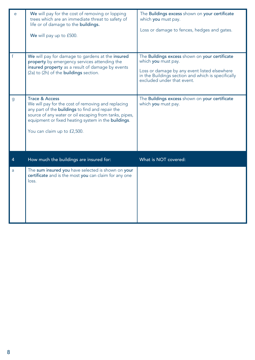| e            | We will pay for the cost of removing or lopping<br>trees which are an immediate threat to safety of<br>life or of damage to the buildings.<br>We will pay up to £500.                                                                                                    | The Buildings excess shown on your certificate<br>which you must pay.<br>Loss or damage to fences, hedges and gates.                                                                                      |
|--------------|--------------------------------------------------------------------------------------------------------------------------------------------------------------------------------------------------------------------------------------------------------------------------|-----------------------------------------------------------------------------------------------------------------------------------------------------------------------------------------------------------|
| $\mathsf{f}$ | We will pay for damage to gardens at the insured<br>property by emergency services attending the<br>insured property as a result of damage by events<br>(2a) to (2h) of the buildings section.                                                                           | The Buildings excess shown on your certificate<br>which you must pay.<br>Loss or damage by any event listed elsewhere<br>in the Buildings section and which is specifically<br>excluded under that event. |
| g            | Trace & Access<br>We will pay for the cost of removing and replacing<br>any part of the buildings to find and repair the<br>source of any water or oil escaping from tanks, pipes,<br>equipment or fixed heating system in the buildings.<br>You can claim up to £2,500. | The Buildings excess shown on your certificate<br>which you must pay.                                                                                                                                     |
| 4            | How much the buildings are insured for:                                                                                                                                                                                                                                  | What is NOT covered:                                                                                                                                                                                      |
| a            | The sum insured you have selected is shown on your<br>certificate and is the most you can claim for any one<br>loss.                                                                                                                                                     |                                                                                                                                                                                                           |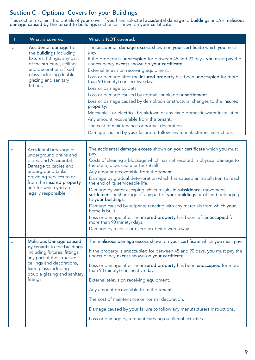# Section C - Optional Covers for your Buildings

This section explains the details of <mark>your</mark> cover if **you** have selected <mark>accidental damage to buildings</mark> and/or <mark>malicious</mark><br><mark>damage caused by the tenant</mark> to <mark>buildings</mark> section as shown on <mark>your certificate</mark>.

| 1            | What is covered:                                                                                                                                                                                                                 | What is NOT covered:                                                                                                                                                                                                                                                                                                                                                                                                                                                                                                                                                                                                                                                                                                                                                                                            |
|--------------|----------------------------------------------------------------------------------------------------------------------------------------------------------------------------------------------------------------------------------|-----------------------------------------------------------------------------------------------------------------------------------------------------------------------------------------------------------------------------------------------------------------------------------------------------------------------------------------------------------------------------------------------------------------------------------------------------------------------------------------------------------------------------------------------------------------------------------------------------------------------------------------------------------------------------------------------------------------------------------------------------------------------------------------------------------------|
| a            | Accidental damage to<br>the buildings including<br>fixtures, fittings, any part<br>of the structure, ceilings<br>and decorations, fixed<br>glass including double<br>glazing and sanitary<br>fittings.                           | The accidental damage excess shown on your certificate which you must<br>pay.<br>If the property is unoccupied for between 45 and 90 days, you must pay the<br>unoccupancy excess shown on your certificate.<br>External television receiving equipment.<br>Loss or damage after the insured property has been unoccupied for more<br>than 90 (ninety) consecutive days.<br>Loss or damage by pets.<br>Loss or damage caused by normal shrinkage or settlement.<br>Loss or damage caused by demolition or structural changes to the insured<br>property.<br>Mechanical or electrical breakdown of any fixed domestic water installation.<br>Any amount recoverable from the tenant.<br>The cost of maintenance or normal decoration.<br>Damage caused by your failure to follow any manufacturers instructions. |
|              |                                                                                                                                                                                                                                  |                                                                                                                                                                                                                                                                                                                                                                                                                                                                                                                                                                                                                                                                                                                                                                                                                 |
| b            | Accidental breakage of<br>underground drains and<br>pipes, and Accidental<br>Damage to cables and<br>underground tanks<br>providing services to or<br>from the insured property<br>and for which you are<br>legally responsible. | The accidental damage excess shown on your certificate which you must<br>pay.<br>Costs of clearing a blockage which has not resulted in physical damage to<br>the drain, pipe, cable or tank itself.<br>Any amount recoverable from the tenant.<br>Damage by gradual deterioration which has caused an installation to reach<br>the end of its serviceable life.<br>Damage by water escaping which results in subsidence, movement,<br>settlement or shrinkage of any part of your buildings or of land belonging<br>to your buildings.<br>Damage caused by sulphate reacting with any materials from which your<br>home is built.<br>Loss or damage after the insured property has been left unoccupied for<br>more than 90 (ninety) days.<br>Damage by a coast or riverbank being worn away.                  |
| $\mathsf{C}$ | <b>Malicious Damage caused</b><br>by tenants to the buildings<br>including fixtures, fittings,<br>any part of the structure,<br>ceilings and decorations,<br>fixed glass including<br>double glazing and sanitary<br>fittings.   | The malicious damage excess shown on your certificate which you must pay.<br>If the property is unoccupied for between 45 and 90 days, you must pay the<br>unoccupancy excess shown on your certificate.<br>Loss or damage after the insured property has been unoccupied for more<br>than 90 (ninety) consecutive days.<br>External television receiving equipment.<br>Any amount recoverable from the tenant.<br>The cost of maintenance or normal decoration.<br>Damage caused by your failure to follow any manufacturers instructions.<br>Loss or damage by a tenant carrying out illegal activities.                                                                                                                                                                                                      |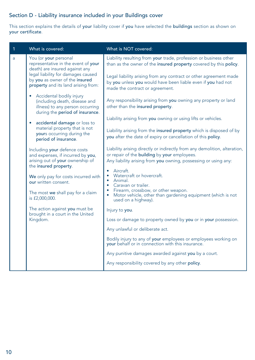#### Section D - Liability insurance included in your Buildings cover

This section explains the details of your liability cover if you have selected the buildings section as shown on your certificate.

| $\mathbf{1}$ | What is covered:                                                                                                                              | What is NOT covered:                                                                                                                                                                         |
|--------------|-----------------------------------------------------------------------------------------------------------------------------------------------|----------------------------------------------------------------------------------------------------------------------------------------------------------------------------------------------|
| a            | You (or your personal<br>representative in the event of your<br>death) are insured against any                                                | Liability resulting from your trade, profession or business other<br>than as the owner of the insured property covered by this policy.                                                       |
|              | legal liability for damages caused<br>by you as owner of the insured<br>property and its land arising from:                                   | Legal liability arising from any contract or other agreement made<br>by you unless you would have been liable even if you had not<br>made the contract or agreement.                         |
|              | Accidental bodily injury<br>$\bullet$<br>(including death, disease and<br>illness) to any person occurring<br>during the period of insurance. | Any responsibility arising from you owning any property or land<br>other than the insured property.                                                                                          |
|              | accidental damage or loss to<br>$\bullet$                                                                                                     | Liability arising from you owning or using lifts or vehicles.                                                                                                                                |
|              | material property that is not<br>yours occurring during the<br>period of insurance.                                                           | Liability arising from the insured property which is disposed of by<br>you after the date of expiry or cancellation of this policy.                                                          |
|              | Including your defence costs<br>and expenses, if incurred by you,<br>arising out of your ownership of<br>the insured property.                | Liability arising directly or indirectly from any demolition, alteration,<br>or repair of the building by your employees.<br>Any liability arising from you owning, possessing or using any: |
|              | We only pay for costs incurred with<br>our written consent.                                                                                   | Aircraft.<br>Watercraft or hovercraft.<br>$\bullet$ Animal.<br>• Caravan or trailer.                                                                                                         |
|              | The most we shall pay for a claim<br>is £2,000,000.                                                                                           | Firearm, crossbow, or other weapon.<br>Motor vehicle, other than gardening equipment (which is not<br>٠<br>used on a highway).                                                               |
|              | The action against you must be<br>brought in a court in the United                                                                            | Injury to you.                                                                                                                                                                               |
|              | Kingdom.                                                                                                                                      | Loss or damage to property owned by you or in your possession.                                                                                                                               |
|              |                                                                                                                                               | Any unlawful or deliberate act.                                                                                                                                                              |
|              |                                                                                                                                               | Bodily injury to any of your employees or employees working on<br>your behalf or in connection with this insurance.                                                                          |
|              |                                                                                                                                               | Any punitive damages awarded against you by a court.                                                                                                                                         |
|              |                                                                                                                                               | Any responsibility covered by any other policy.                                                                                                                                              |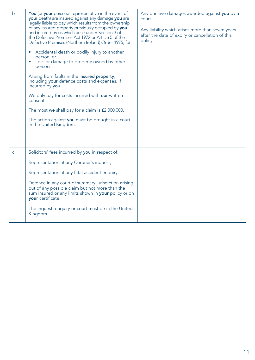| $\mathsf{b}$ | You (or your personal representative in the event of<br>your death) are insured against any damage you are<br>legally liable to pay which results from the ownership<br>of any insured property previously occupied by you<br>and insured by us which arise under Section 3 of<br>the Defective Premises Act 1972 or Article 5 of the<br>Defective Premises (Northern Ireland) Order 1975, for:<br>Accidental death or bodily injury to another<br>٠<br>person; or<br>Loss or damage to property owned by other<br>٠<br>persons.<br>Arising from faults in the insured property,<br>including your defence costs and expenses, if<br>incurred by you.<br>We only pay for costs incurred with our written<br>consent.<br>The most we shall pay for a claim is £2,000,000.<br>The action against you must be brought in a court<br>in the United Kingdom. | Any punitive damages awarded against you by a<br>court.<br>Any liability which arises more than seven years<br>after the date of expiry or cancellation of this<br>policy. |
|--------------|---------------------------------------------------------------------------------------------------------------------------------------------------------------------------------------------------------------------------------------------------------------------------------------------------------------------------------------------------------------------------------------------------------------------------------------------------------------------------------------------------------------------------------------------------------------------------------------------------------------------------------------------------------------------------------------------------------------------------------------------------------------------------------------------------------------------------------------------------------|----------------------------------------------------------------------------------------------------------------------------------------------------------------------------|
| $\mathsf{C}$ | Solicitors' fees incurred by you in respect of:                                                                                                                                                                                                                                                                                                                                                                                                                                                                                                                                                                                                                                                                                                                                                                                                         |                                                                                                                                                                            |
|              | Representation at any Coroner's inquest;                                                                                                                                                                                                                                                                                                                                                                                                                                                                                                                                                                                                                                                                                                                                                                                                                |                                                                                                                                                                            |
|              | Representation at any fatal accident enquiry;                                                                                                                                                                                                                                                                                                                                                                                                                                                                                                                                                                                                                                                                                                                                                                                                           |                                                                                                                                                                            |
|              | Defence in any court of summary jurisdiction arising<br>out of any possible claim but not more than the<br>sum insured or any limits shown in your policy or on<br>your certificate.                                                                                                                                                                                                                                                                                                                                                                                                                                                                                                                                                                                                                                                                    |                                                                                                                                                                            |
|              | The inquest, enquiry or court must be in the United<br>Kingdom.                                                                                                                                                                                                                                                                                                                                                                                                                                                                                                                                                                                                                                                                                                                                                                                         |                                                                                                                                                                            |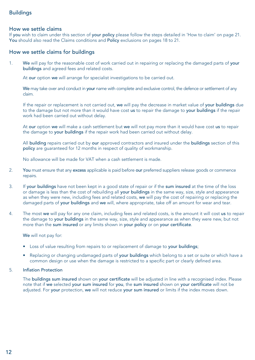#### Buildings

#### How we settle claims

If you wish to claim under this section of your policy please follow the steps detailed in 'How to claim' on page 21. You should also read the Claims conditions and Policy exclusions on pages 18 to 21.

#### How we settle claims for buildings

1. We will pay for the reasonable cost of work carried out in repairing or replacing the damaged parts of your buildings and agreed fees and related costs.

At our option we will arrange for specialist investigations to be carried out.

We may take over and conduct in your name with complete and exclusive control, the defence or settlement of any claim.

 If the repair or replacement is not carried out, we will pay the decrease in market value of your buildings due to the damage but not more than it would have cost us to repair the damage to your buildings if the repair work had been carried out without delay.

At our option we will make a cash settlement but we will not pay more than it would have cost us to repair the damage to your buildings if the repair work had been carried out without delay.

All building repairs carried out by our approved contractors and insured under the buildings section of this policy are guaranteed for 12 months in respect of quality of workmanship.

No allowance will be made for VAT when a cash settlement is made.

- 2. You must ensure that any excess applicable is paid before our preferred suppliers release goods or commence repairs.
- 3. If your buildings have not been kept in a good state of repair or if the sum insured at the time of the loss or damage is less than the cost of rebuilding all your buildings in the same way, size, style and appearance as when they were new, including fees and related costs, we will pay the cost of repairing or replacing the damaged parts of your buildings and we will, where appropriate, take off an amount for wear and tear.
- 4. The most we will pay for any one claim, including fees and related costs, is the amount it will cost us to repair the damage to your buildings in the same way, size, style and appearance as when they were new, but not more than the sum insured or any limits shown in your policy or on your certificate.

We will not pay for:

- Loss of value resulting from repairs to or replacement of damage to your buildings;
- Replacing or changing undamaged parts of your buildings which belong to a set or suite or which have a common design or use when the damage is restricted to a specific part or clearly defined area.

#### 5. Inflation Protection

 The buildings sum insured shown on your certificate will be adjusted in line with a recognised index. Please note that if we selected your sum insured for you, the sum insured shown on your certificate will not be adjusted. For your protection, we will not reduce your sum insured or limits if the index moves down.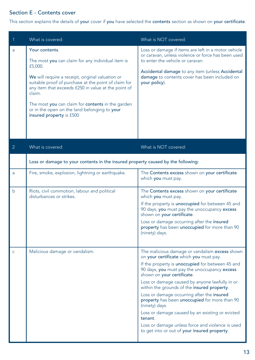### Section E - Contents cover

This section explains the details of your cover if you have selected the contents section as shown on your certificate.

| 1              | What is covered:                                                                                                                                                                                                                                                                                                                                                                             | What is NOT covered:                                                                                                                                                                                                                                                                                                                                                                                                                                                                                                                                                                                            |
|----------------|----------------------------------------------------------------------------------------------------------------------------------------------------------------------------------------------------------------------------------------------------------------------------------------------------------------------------------------------------------------------------------------------|-----------------------------------------------------------------------------------------------------------------------------------------------------------------------------------------------------------------------------------------------------------------------------------------------------------------------------------------------------------------------------------------------------------------------------------------------------------------------------------------------------------------------------------------------------------------------------------------------------------------|
| $\overline{a}$ | Your contents.<br>The most you can claim for any individual item is<br>£5,000.<br>We will require a receipt, original valuation or<br>suitable proof of purchase at the point of claim for<br>any item that exceeds £250 in value at the point of<br>claim.<br>The most you can claim for contents in the garden<br>or in the open on the land belonging to your<br>insured property is £500 | Loss or damage if items are left in a motor vehicle<br>or caravan, unless violence or force has been used<br>to enter the vehicle or caravan.<br>Accidental damage to any item (unless Accidental<br>damage to contents cover has been included on<br>your policy).                                                                                                                                                                                                                                                                                                                                             |
| $\overline{2}$ | What is covered:                                                                                                                                                                                                                                                                                                                                                                             | What is NOT covered:                                                                                                                                                                                                                                                                                                                                                                                                                                                                                                                                                                                            |
|                | Loss or damage to your contents in the insured property caused by the following:                                                                                                                                                                                                                                                                                                             |                                                                                                                                                                                                                                                                                                                                                                                                                                                                                                                                                                                                                 |
| a              | Fire, smoke, explosion, lightning or earthquake.                                                                                                                                                                                                                                                                                                                                             | The Contents excess shown on your certificate<br>which you must pay.                                                                                                                                                                                                                                                                                                                                                                                                                                                                                                                                            |
| b              | Riots, civil commotion, labour and political<br>disturbances or strikes.                                                                                                                                                                                                                                                                                                                     | The Contents excess shown on your certificate<br>which you must pay.<br>If the property is unoccupied for between 45 and<br>90 days, you must pay the unoccupancy excess<br>shown on your certificate.<br>Loss or damage occurring after the insured<br>property has been unoccupied for more than 90<br>(ninety) days.                                                                                                                                                                                                                                                                                         |
| $\mathsf{C}$   | Malicious damage or vandalism.                                                                                                                                                                                                                                                                                                                                                               | The malicious damage or vandalism excess shown<br>on your certificate which you must pay.<br>If the property is unoccupied for between 45 and<br>90 days, you must pay the unoccupancy excess<br>shown on your certificate.<br>Loss or damage caused by anyone lawfully in or<br>within the grounds of the insured property.<br>Loss or damage occurring after the insured<br>property has been unoccupied for more than 90<br>(ninety) days.<br>Loss or damage caused by an existing or evicted<br>tenant.<br>Loss or damage unless force and violence is used<br>to get into or out of your insured property. |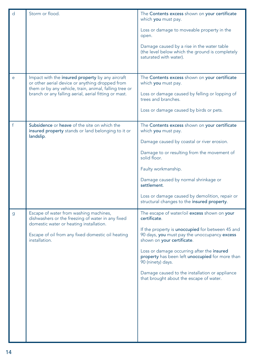| d            | Storm or flood.                                                                                                                        | The Contents excess shown on your certificate<br>which you must pay.                                                           |
|--------------|----------------------------------------------------------------------------------------------------------------------------------------|--------------------------------------------------------------------------------------------------------------------------------|
|              |                                                                                                                                        | Loss or damage to moveable property in the<br>open.                                                                            |
|              |                                                                                                                                        | Damage caused by a rise in the water table<br>(the level below which the ground is completely<br>saturated with water).        |
| e            | Impact with the insured property by any aircraft<br>or other aerial device or anything dropped from                                    | The Contents excess shown on your certificate<br>which you must pay.                                                           |
|              | them or by any vehicle, train, animal, falling tree or<br>branch or any falling aerial, aerial fitting or mast.                        | Loss or damage caused by felling or lopping of<br>trees and branches.                                                          |
|              |                                                                                                                                        | Loss or damage caused by birds or pets.                                                                                        |
| $\mathsf{f}$ | Subsidence or heave of the site on which the<br>insured property stands or land belonging to it or                                     | The Contents excess shown on your certificate<br>which you must pay.                                                           |
|              | landslip.                                                                                                                              | Damage caused by coastal or river erosion.                                                                                     |
|              |                                                                                                                                        | Damage to or resulting from the movement of<br>solid floor.                                                                    |
|              |                                                                                                                                        | Faulty workmanship.                                                                                                            |
|              |                                                                                                                                        | Damage caused by normal shrinkage or<br>settlement.                                                                            |
|              |                                                                                                                                        | Loss or damage caused by demolition, repair or<br>structural changes to the insured property.                                  |
| g            | Escape of water from washing machines,<br>dishwashers or the freezing of water in any fixed<br>domestic water or heating installation. | The escape of water/oil excess shown on your<br>certificate.                                                                   |
|              | Escape of oil from any fixed domestic oil heating<br>installation.                                                                     | If the property is unoccupied for between 45 and<br>90 days, you must pay the unoccupancy excess<br>shown on your certificate. |
|              |                                                                                                                                        | Loss or damage occurring after the insured<br>property has been left unoccupied for more than<br>90 (ninety) days.             |
|              |                                                                                                                                        | Damage caused to the installation or appliance<br>that brought about the escape of water.                                      |
|              |                                                                                                                                        |                                                                                                                                |
|              |                                                                                                                                        |                                                                                                                                |
|              |                                                                                                                                        |                                                                                                                                |
|              |                                                                                                                                        |                                                                                                                                |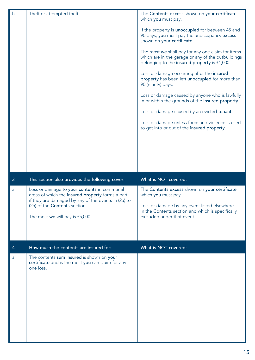| h | Theft or attempted theft.                                                                                                                                                    | The Contents excess shown on your certificate<br>which you must pay.<br>If the property is unoccupied for between 45 and<br>90 days, you must pay the unoccupancy excess<br>shown on your certificate.<br>The most we shall pay for any one claim for items<br>which are in the garage or any of the outbuildings<br>belonging to the insured property is £1,000.<br>Loss or damage occurring after the insured<br>property has been left unoccupied for more than<br>90 (ninety) days.<br>Loss or damage caused by anyone who is lawfully<br>in or within the grounds of the insured property.<br>Loss or damage caused by an evicted tenant.<br>Loss or damage unless force and violence is used<br>to get into or out of the insured property. |
|---|------------------------------------------------------------------------------------------------------------------------------------------------------------------------------|---------------------------------------------------------------------------------------------------------------------------------------------------------------------------------------------------------------------------------------------------------------------------------------------------------------------------------------------------------------------------------------------------------------------------------------------------------------------------------------------------------------------------------------------------------------------------------------------------------------------------------------------------------------------------------------------------------------------------------------------------|
| 3 | This section also provides the following cover:                                                                                                                              | What is NOT covered:                                                                                                                                                                                                                                                                                                                                                                                                                                                                                                                                                                                                                                                                                                                              |
| a | Loss or damage to your contents in communal                                                                                                                                  |                                                                                                                                                                                                                                                                                                                                                                                                                                                                                                                                                                                                                                                                                                                                                   |
|   | areas of which the insured property forms a part,<br>if they are damaged by any of the events in (2a) to<br>(2h) of the Contents section.<br>The most we will pay is £5,000. | The Contents excess shown on your certificate<br>which you must pay.<br>Loss or damage by any event listed elsewhere<br>in the Contents section and which is specifically<br>excluded under that event.                                                                                                                                                                                                                                                                                                                                                                                                                                                                                                                                           |
| 4 | How much the contents are insured for:                                                                                                                                       | What is NOT covered:                                                                                                                                                                                                                                                                                                                                                                                                                                                                                                                                                                                                                                                                                                                              |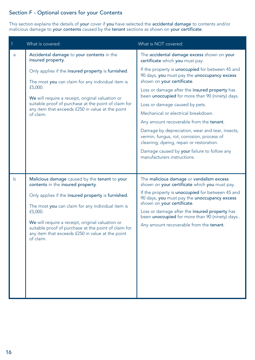#### Section F - Optional covers for your Contents

This section explains the details of your cover if you have selected the accidental damage to contents and/or malicious damage to your contents caused by the tenant sections as shown on your certificate.

| $\mathbf{1}$ | What is covered:                                                                                                                                                                                                                                                                                | What is NOT covered:                                                                                                                                                                                                               |
|--------------|-------------------------------------------------------------------------------------------------------------------------------------------------------------------------------------------------------------------------------------------------------------------------------------------------|------------------------------------------------------------------------------------------------------------------------------------------------------------------------------------------------------------------------------------|
| a            | Accidental damage to your contents in the<br>insured property.                                                                                                                                                                                                                                  | The accidental damage excess shown on your<br>certificate which you must pay.                                                                                                                                                      |
|              | Only applies if the insured property is furnished.<br>The most you can claim for any individual item is<br>£5,000.<br>We will require a receipt, original valuation or                                                                                                                          | If the property is unoccupied for between 45 and<br>90 days, you must pay the unoccupancy excess<br>shown on your certificate.<br>Loss or damage after the insured property has<br>been unoccupied for more than 90 (ninety) days. |
|              | suitable proof of purchase at the point of claim for<br>any item that exceeds £250 in value at the point<br>of claim.                                                                                                                                                                           | Loss or damage caused by pets.                                                                                                                                                                                                     |
|              |                                                                                                                                                                                                                                                                                                 | Mechanical or electrical breakdown.                                                                                                                                                                                                |
|              |                                                                                                                                                                                                                                                                                                 | Any amount recoverable from the tenant.                                                                                                                                                                                            |
|              |                                                                                                                                                                                                                                                                                                 | Damage by depreciation, wear and tear, insects,<br>vermin, fungus, rot, corrosion, process of<br>cleaning, dyeing, repair or restoration.                                                                                          |
|              |                                                                                                                                                                                                                                                                                                 | Damage caused by your failure to follow any<br>manufacturers instructions.                                                                                                                                                         |
|              |                                                                                                                                                                                                                                                                                                 |                                                                                                                                                                                                                                    |
| b            | Malicious damage caused by the tenant to your<br>contents in the insured property.                                                                                                                                                                                                              | The malicious damage or vandalism excess<br>shown on your certificate which you must pay.                                                                                                                                          |
|              | Only applies if the insured property is furnished.<br>The most you can claim for any individual item is<br>£5,000.<br>We will require a receipt, original valuation or<br>suitable proof of purchase at the point of claim for<br>any item that exceeds £250 in value at the point<br>of claim. | If the property is unoccupied for between 45 and<br>90 days, you must pay the unoccupancy excess<br>shown on your certificate.                                                                                                     |
|              |                                                                                                                                                                                                                                                                                                 | Loss or damage after the insured property has<br>been unoccupied for more than 90 (ninety) days                                                                                                                                    |
|              |                                                                                                                                                                                                                                                                                                 | Any amount recoverable from the tenant.                                                                                                                                                                                            |
|              |                                                                                                                                                                                                                                                                                                 |                                                                                                                                                                                                                                    |
|              |                                                                                                                                                                                                                                                                                                 |                                                                                                                                                                                                                                    |
|              |                                                                                                                                                                                                                                                                                                 |                                                                                                                                                                                                                                    |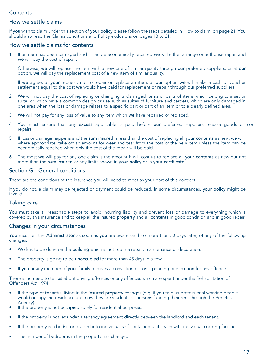#### **Contents**

#### How we settle claims

If you wish to claim under this section of your policy please follow the steps detailed in 'How to claim' on page 21. You should also read the Claims conditions and Policy exclusions on pages 18 to 21.

#### How we settle claims for contents

1. If an item has been damaged and it can be economically repaired we will either arrange or authorise repair and we will pay the cost of repair.

 Otherwise, we will replace the item with a new one of similar quality through our preferred suppliers, or at our option, we will pay the replacement cost of a new item of similar quality.

If we agree, at your request, not to repair or replace an item, at our option we will make a cash or voucher settlement equal to the cost we would have paid for replacement or repair through our preferred suppliers.

- 2. We will not pay the cost of replacing or changing undamaged items or parts of items which belong to a set or suite, or which have a common design or use such as suites of furniture and carpets, which are only damaged in one area when the loss or damage relates to a specific part or part of an item or to a clearly defined area.
- 3. We will not pay for any loss of value to any item which we have repaired or replaced.
- 4. You must ensure that any excess applicable is paid before our preferred suppliers release goods or comrepairs
- 5. If loss or damage happens and the sum insured is less than the cost of replacing all your contents as new, we will, where appropriate, take off an amount for wear and tear from the cost of the new item unless the item can be economically repaired when only the cost of the repair will be paid.
- 6. The most we will pay for any one claim is the amount it will cost us to replace all your contents as new but not more than the sum insured or any limits shown in your policy or in your certificate.

#### Section G - General conditions

These are the conditions of the insurance you will need to meet as your part of this contract.

If you do not, a claim may be rejected or payment could be reduced. In some circumstances, your policy might be invalid.

#### Taking care

You must take all reasonable steps to avoid incurring liability and prevent loss or damage to everything which is covered by this insurance and to keep all the insured property and all contents in good condition and in good repair.

#### Changes in your circumstances

You must tell the Administrator as soon as you are aware (and no more than 30 days later) of any of the following changes:

- Work is to be done on the **building** which is not routine repair, maintenance or decoration.
- The property is going to be unoccupied for more than 45 days in a row.
- If you or any member of your family receives a conviction or has a pending prosecution for any offence.

There is no need to tell us about driving offences or any offences which are spent under the Rehabilitation of Offenders Act 1974.

- If the type of tenant(s) living in the insured property changes (e.g. if you told us professional working people would occupy the residence and now they are students or persons funding their rent through the Benefits Agency).
- If the property is not occupied solely for residential purposes.
- If the property is not let under a tenancy agreement directly between the landlord and each tenant.
- If the property is a bedsit or divided into individual self-contained units each with individual cooking facilities.
- The number of bedrooms in the property has changed.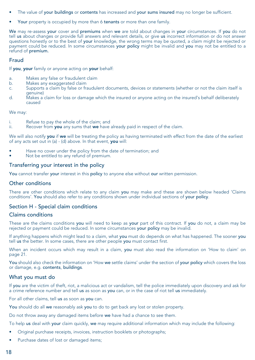- The value of your buildings or contents has increased and your sums insured may no longer be sufficient.
- Your property is occupied by more than 6 tenants or more than one family.

We may re-assess your cover and premiums when we are told about changes in your circumstances. If you do not tell us about changes or provide full answers and relevant details, or give us incorrect information or do not answer questions honestly or to the best of your knowledge, the wrong terms may be quoted, a claim might be rejected or payment could be reduced. In some circumstances your policy might be invalid and you may not be entitled to a refund of premium.

#### Fraud

If you, your family or anyone acting on your behalf:

- a. Makes any false or fraudulent claim
- Makes any exaggerated claim
- c. Supports a claim by false or fraudulent documents, devices or statements (whether or not the claim itself is genuine)
- d. Makes a claim for loss or damage which the insured or anyone acting on the insured's behalf deliberately caused

We may:

- i. Refuse to pay the whole of the claim; and<br>ii. Recover from you any sums that we have
- Recover from you any sums that we have already paid in respect of the claim.

We will also notify you if we will be treating the policy as having terminated with effect from the date of the earliest of any acts set out in (a) - (d) above. In that event, you will:

- Have no cover under the policy from the date of termination; and
- Not be entitled to any refund of premium.

#### Transferring your interest in the policy

You cannot transfer your interest in this policy to anyone else without our written permission.

#### Other conditions

There are other conditions which relate to any claim you may make and these are shown below headed 'Claims conditions'. You should also refer to any conditions shown under individual sections of your policy.

#### Section H - Special claim conditions

#### Claims conditions

These are the claims conditions you will need to keep as your part of this contract. If you do not, a claim may be rejected or payment could be reduced. In some circumstances your policy may be invalid.

If anything happens which might lead to a claim, what you must do depends on what has happened. The sooner you tell us the better. In some cases, there are other people you must contact first.

When an incident occurs which may result in a claim, you must also read the information on 'How to claim' on page 21.

You should also check the information on 'How we settle claims' under the section of your policy which covers the loss or damage, e.g. contents, buildings.

#### What you must do

If you are the victim of theft, riot, a malicious act or vandalism, tell the police immediately upon discovery and ask for a crime reference number and tell us as soon as you can, or in the case of riot tell us immediately.

For all other claims, tell us as soon as you can.

You should do all we reasonably ask you to do to get back any lost or stolen property.

Do not throw away any damaged items before we have had a chance to see them.

To help us deal with your claim quickly, we may require additional information which may include the following:

- Original purchase receipts, invoices, instruction booklets or photographs;
- Purchase dates of lost or damaged items;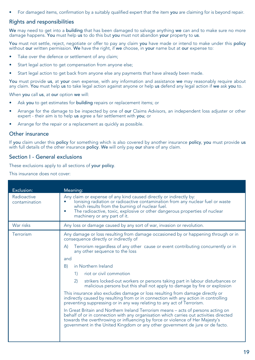For damaged items, confirmation by a suitably qualified expert that the item you are claiming for is beyond repair.

#### Rights and responsibilities

We may need to get into a building that has been damaged to salvage anything we can and to make sure no more damage happens. You must help us to do this but you must not abandon your property to us.

You must not settle, reject, negotiate or offer to pay any claim you have made or intend to make under this policy without our written permission. We have the right, if we choose, in your name but at our expense to:

- Take over the defence or settlement of any claim:
- Start legal action to get compensation from anyone else;
- Start legal action to get back from anyone else any payments that have already been made.

You must provide us, at your own expense, with any information and assistance we may reasonably require about any claim. You must help us to take legal action against anyone or help us defend any legal action if we ask you to.

When you call us, at our option we will:

- Ask you to get estimates for building repairs or replacement items; or
- Arrange for the damage to be inspected by one of our Claims Advisors, an independent loss adjuster or other expert - their aim is to help us agree a fair settlement with you; or
- Arrange for the repair or a replacement as quickly as possible.

#### Other insurance

If you claim under this policy for something which is also covered by another insurance policy, you must provide us with full details of the other insurance policy. We will only pay our share of any claim.

#### Section I - General exclusions

These exclusions apply to all sections of your policy.

This insurance does not cover:

| Exclusion:                   | Meaning:                                                                                                                                                                                                                                                                                                                                      |
|------------------------------|-----------------------------------------------------------------------------------------------------------------------------------------------------------------------------------------------------------------------------------------------------------------------------------------------------------------------------------------------|
| Radioactive<br>contamination | Any claim or expense of any kind caused directly or indirectly by:<br>lonising radiation or radioactive contamination from any nuclear fuel or waste<br>which results from the burning of nuclear fuel.<br>The radioactive, toxic, explosive or other dangerous properties of nuclear<br>٠<br>machinery or any part of it.                    |
| War risks                    | Any loss or damage caused by any sort of war, invasion or revolution.                                                                                                                                                                                                                                                                         |
| Terrorism                    | Any damage or loss resulting from damage occasioned by or happening through or in<br>consequence directly or indirectly of                                                                                                                                                                                                                    |
|                              | Terrorism regardless of any other cause or event contributing concurrently or in<br>A)<br>any other sequence to the loss                                                                                                                                                                                                                      |
|                              | and                                                                                                                                                                                                                                                                                                                                           |
|                              | in Northern Ireland<br>B)                                                                                                                                                                                                                                                                                                                     |
|                              | riot or civil commotion<br>1)                                                                                                                                                                                                                                                                                                                 |
|                              | strikers locked-out workers or persons taking part in labour disturbances or<br>(2)<br>malicious persons but this shall not apply to damage by fire or explosion                                                                                                                                                                              |
|                              | This insurance also excludes damage or loss resulting from damage directly or<br>indirectly caused by resulting from or in connection with any action in controlling<br>preventing suppressing or in any way relating to any act of Terrorism.                                                                                                |
|                              | In Great Britain and Northern Ireland Terrorism means - acts of persons acting on<br>behalf of or in connection with any organisation which carries out activities directed<br>towards the overthrowing or influencing by force or violence of Her Majesty's<br>government in the United Kingdom or any other government de jure or de facto. |
|                              |                                                                                                                                                                                                                                                                                                                                               |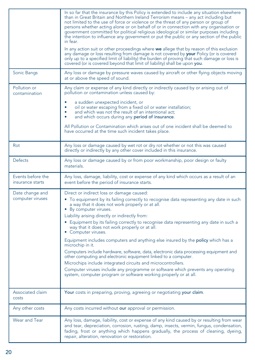|                                       | In so far that the insurance by this Policy is extended to include any situation elsewhere<br>than in Great Britain and Northern Ireland Terrorism means - any act including but<br>not limited to the use of force or violence or the threat of any person or group of<br>persons whether acting alone or on behalf of or in connection with any organisation or<br>government committed for political religious ideological or similar purposes including<br>the intention to influence any government or put the public or any section of the public<br>in fear.<br>In any action suit or other proceedings where we allege that by reason of this exclusion |
|---------------------------------------|-----------------------------------------------------------------------------------------------------------------------------------------------------------------------------------------------------------------------------------------------------------------------------------------------------------------------------------------------------------------------------------------------------------------------------------------------------------------------------------------------------------------------------------------------------------------------------------------------------------------------------------------------------------------|
|                                       | any damage or loss resulting from damage is not covered by <b>your</b> Policy (or is covered<br>only up to a specified limit of liability) the burden of proving that such damage or loss is<br>covered (or is covered beyond that limit of liability) shall be upon you.                                                                                                                                                                                                                                                                                                                                                                                       |
| Sonic Bangs                           | Any loss or damage by pressure waves caused by aircraft or other flying objects moving<br>at or above the speed of sound.                                                                                                                                                                                                                                                                                                                                                                                                                                                                                                                                       |
| Pollution or<br>contamination         | Any claim or expense of any kind directly or indirectly caused by or arising out of<br>pollution or contamination unless caused by:                                                                                                                                                                                                                                                                                                                                                                                                                                                                                                                             |
|                                       | a sudden unexpected incident, or<br>oil or water escaping from a fixed oil or water installation;<br>۰<br>$\bullet$<br>and which was not the result of an intentional act;<br>and which occurs during any period of insurance.                                                                                                                                                                                                                                                                                                                                                                                                                                  |
|                                       | All Pollution or Contamination which arises out of one incident shall be deemed to<br>have occurred at the time such incident takes place.                                                                                                                                                                                                                                                                                                                                                                                                                                                                                                                      |
| Rot                                   | Any loss or damage caused by wet rot or dry rot whether or not this was caused<br>directly or indirectly by any other cover included in this insurance.                                                                                                                                                                                                                                                                                                                                                                                                                                                                                                         |
| <b>Defects</b>                        | Any loss or damage caused by or from poor workmanship, poor design or faulty<br>materials.                                                                                                                                                                                                                                                                                                                                                                                                                                                                                                                                                                      |
| Events before the<br>insurance starts | Any loss, damage, liability, cost or expense of any kind which occurs as a result of an<br>event before the period of insurance starts.                                                                                                                                                                                                                                                                                                                                                                                                                                                                                                                         |
| Date change and<br>computer viruses   | Direct or indirect loss or damage caused:<br>• To equipment by its failing correctly to recognise data representing any date in such<br>a way that it does not work properly or at all.<br>• By computer viruses.                                                                                                                                                                                                                                                                                                                                                                                                                                               |
|                                       | Liability arising directly or indirectly from:                                                                                                                                                                                                                                                                                                                                                                                                                                                                                                                                                                                                                  |
|                                       | • Equipment by its failing correctly to recognise data representing any date in such a<br>way that it does not work properly or at all.<br>• Computer viruses.                                                                                                                                                                                                                                                                                                                                                                                                                                                                                                  |
|                                       | Equipment includes computers and anything else insured by the <b>policy</b> which has a<br>microchip in it.                                                                                                                                                                                                                                                                                                                                                                                                                                                                                                                                                     |
|                                       | Computers include hardware, software, data, electronic data processing equipment and<br>other computing and electronic equipment linked to a computer.                                                                                                                                                                                                                                                                                                                                                                                                                                                                                                          |
|                                       | Microchips include integrated circuits and microcontrollers.                                                                                                                                                                                                                                                                                                                                                                                                                                                                                                                                                                                                    |
|                                       | Computer viruses include any programme or software which prevents any operating<br>system, computer program or software working properly or at all.                                                                                                                                                                                                                                                                                                                                                                                                                                                                                                             |
| Associated claim<br>costs             | Your costs in preparing, proving, agreeing or negotiating your claim.                                                                                                                                                                                                                                                                                                                                                                                                                                                                                                                                                                                           |
| Any other costs                       | Any costs incurred without our approval or permission.                                                                                                                                                                                                                                                                                                                                                                                                                                                                                                                                                                                                          |
| Wear and Tear                         | Any loss, damage, liability, cost or expense of any kind caused by or resulting from wear<br>and tear, depreciation, corrosion, rusting, damp, insects, vermin, fungus, condensation,<br>fading, frost or anything which happens gradually, the process of cleaning, dyeing,<br>repair, alteration, renovation or restoration.                                                                                                                                                                                                                                                                                                                                  |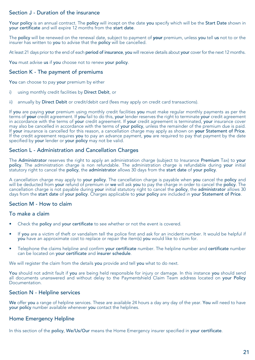#### Section J - Duration of the insurance

Your policy is an annual contract. The policy will incept on the date you specify which will be the Start Date shown in your certificate and will expire 12 months from the start date.

The policy will be renewed on the renewal date, subject to payment of your premium, unless you tell us not to or the insurer has written to you to advise that the policy will be cancelled.

At least 21 days prior to the end of each period of insurance, you will receive details about your cover for the next 12 months.

You must advise us if you choose not to renew your policy.

#### Section K - The payment of premiums

You can choose to pay your premium by either

- i) using monthly credit facilities by Direct Debit, or
- ii) annually by Direct Debit or credit/debit card (fees may apply on credit card transactions).

If you are paying your premium using monthly credit facilities you must make regular monthly payments as per the terms of your credit agreement. If you fail to do this, your lender reserves the right to terminate your credit agreement in accordance with the terms of your credit agreement. If your credit agreement is terminated, your insurance cover may also be cancelled in accordance with the terms of your policy, unless the remainder of the premium due is paid. If your insurance is cancelled for this reason, a cancellation charge may apply as shown on your Statement of Price. If the credit agreement requires you to pay an advance payment, you are required to pay that payment by the date specified by your lender or your policy may not be valid.

#### Section L - Administration and Cancellation Charges

The Administrator reserves the right to apply an administration charge (subject to Insurance Premium Tax) to your policy. The administration charge is non refundable. The administration charge is refundable during your initial statutory right to cancel the policy, the administrator allows 30 days from the start date of your policy.

A cancellation charge may apply to your policy. The cancellation charge is payable when you cancel the policy and will be deducted from your refund of premium or we will ask you to pay the charge in order to cancel the policy. The cancellation charge is not payable during your initial statutory right to cancel the policy, the administrator allows 30 days from the start date of your policy. Charges applicable to your policy are included in your Statement of Price.

#### Section M - How to claim

#### To make a claim

- Check the policy and your certificate to see whether or not the event is covered.
- If you are a victim of theft or vandalism tell the police first and ask for an incident number. It would be helpful if you have an approximate cost to replace or repair the item(s) you would like to claim for.
- Telephone the claims helpline and confirm your certificate number. The helpline number and certificate number can be located on your certificate and insurer schedule.

We will register the claim from the details you provide and tell you what to do next.

You should not admit fault if you are being held responsible for injury or damage. In this instance you should send all documents unanswered and without delay to the Paymentshield Claim Team address located on your Policy Documentation.

#### Section N - Helpline services

We offer you a range of helpline services. These are available 24 hours a day any day of the year. You will need to have your policy number available whenever you contact the helplines.

#### Home Emergency Helpline

In this section of the policy, We/Us/Our means the Home Emergency insurer specified in your certificate.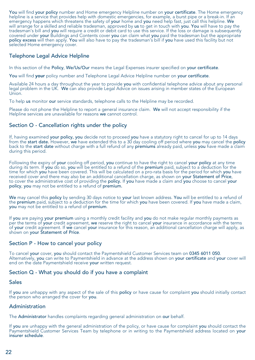You will find your policy number and Home emergency Helpline number on your certificate. The Home emergency helpline is a service that provides help with domestic emergencies, for example, a burst pipe or a break-in. If an emergency happens which threatens the safety of your home and you need help fast, just call this helpline. We will arrange for a skilled and reliable tradesman, approved by **us** to get in touch with **you. You** will have to pay the<br>tradesman's bill and **you** will require a credit or debit card to use this service. If the loss or da covered under your Buildings and Contents cover you can claim what you paid the tradesman but the appropriate policy excess will then apply. You will also have to pay the tradesman's bill if you have used this facility but not selected Home emergency cover.

#### Telephone Legal Advice Helpline

In this section of the Policy, We/Us/Our means the Legal Expenses insurer specified on your certificate.

You will find your policy number and Telephone Legal Advice Helpline number on your certificate.

Available 24 hours a day throughout the year to provide you with confidential telephone advice about any personal legal problem in the UK. We can also provide Legal Advice on issues arising in member states of the European Union.

To help us monitor our service standards, telephone calls to the Helpline may be recorded.

Please do not phone the Helpline to report a general insurance claim. We will not accept responsibility if the Helpline services are unavailable for reasons we cannot control.

#### Section O - Cancellation rights under the policy

If, having examined your policy, you decide not to proceed you have a statutory right to cancel for up to 14 days from the start date. However, we have extended this to a 30 day cooling off period where you may cancel the policy back to the start date without charge with a full refund of any premiums already paid, unless you have made a claim during this period.

Following the expiry of your cooling off period, you continue to have the right to cancel your policy at any time during its term. If you do so, you will be entitled to a refund of the premium paid, subject to a deduction for the time for which you have been covered. This will be calculated on a pro-rata basis for the period for which you have received cover and there may also be an additional cancellation charge, as shown on your Statement of Price, to cover the administrative cost of providing the policy. If you have made a claim and you choose to cancel your policy, you may not be entitled to a refund of premium.

We may cancel this policy by sending 30 days notice to your last known address. You will be entitled to a refund of the premium paid, subject to a deduction for the time for which you have been covered. If you have made a claim, you may not be entitled to a refund of premium.

If you are paying your premium using a monthly credit facility and you do not make regular monthly payments as per the terms of your credit agreement, we reserve the right to cancel your insurance in accordance with the terms of your credit agreement. If we cancel your insurance for this reason, an additional cancellation charge will apply, as shown on your Statement of Price.

#### Section P - How to cancel your policy

To cancel your cover, you should contact the Paymentshield Customer Services team on 0345 6011 050. Alternatively, you can write to Paymentshield in advance at the address shown on your certificate and your cover will end on the date Paymentshield receive your written request.

#### Section Q - What you should do if you have a complaint

#### Sales

If you are unhappy with any aspect of the sale of this policy or have cause for complaint you should initially contact the person who arranged the cover for you.

#### Administration

The Administrator handles complaints regarding general administration on our behalf.

If you are unhappy with the general administration of the policy, or have cause for complaint you should contact the Paymentshield Customer Services Team by telephone or in writing to the Paymentshield address located on your insurer schedule.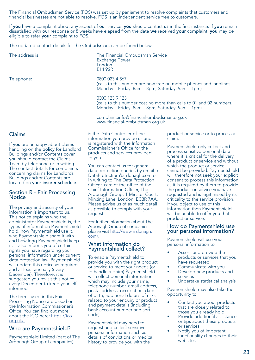The Financial Ombudsman Service (FOS) was set up by parliament to resolve complaints that customers and financial businesses are not able to resolve. FOS is an independent service free to customers.

> Exchange Tower London E14 9SR

0300 123 9 123

to you.

If **you** have a complaint about any aspect of **our** service, **you** should contact us in the first instance. If **you** remain<br>dissatisfied with <mark>our</mark> response or 8 weeks have elapsed from the date **we** received **your** compla eligible to refer your complaint to FOS.

The updated contact details for the Ombudsman, can be found below:

The address is: The Financial Ombudsman Service

Telephone: 0800 023 4 567

Claims

If you are unhappy about claims handling on the policy for Landlord Buildings and/or Contents cover you should contact the Claims Team by telephone or in writing. The contact details for complaints concerning claims for Landlords Buildings and/or Contents are located on your insurer schedule.

#### Section R - Fair Processing **Notice**

The privacy and security of your information is important to us. This notice explains who the administrator Paymentshield is, the types of information Paymentshield hold, how Paymentshield use it, who Paymentshield share it with and how long Paymentshield keep it. It also informs you of certain rights you have regarding your personal information under current data protection law. Paymentshield will update this notice as required and at least annually (every December). Therefore, it is suggested you revisit this notice every December to keep yourself informed.

The terms used in this Fair Processing Notice are based on the Information Commissioner's Office. You can find out more about the ICO here: https://ico. org.uk/.

#### Who are Paymentshield?

Paymentshield Limited (part of The Ardonagh Group of companies)

 www.financial-ombudsman.org.uk is the Data Controller of the information you provide us and is registered with the Information Commissioner's Office for the products and services provided

You can contact us for general data protection queries by email to DataProtection@ardonagh.com or in writing to The Data Protection Officer, care of the office of the Chief Information Officer, The Ardonagh Group, 1 Minster Court, Mincing Lane, London, EC3R 7AA. Please advise us of as much detail as possible to comply with your request.

For further information about The Ardonagh Group of companies please visit http://www.ardonagh. com/.

#### What information do Paymentshield collect?

To enable Paymentshield to provide you with the right product or service to meet your needs (or to handle a claim) Paymentshield will collect personal information which may include your name, telephone number, email address, postal address, occupation, date of birth, additional details of risks related to your enquiry or product and payment details (including bank account number and sort code).

Paymentshield may need to request and collect sensitive personal information such as details of convictions or medical history to provide you with the

product or service or to process a claim.

(calls to this number are now free on mobile phones and landlines.

(calls to this number cost no more than calls to 01 and 02 numbers.

Monday – Friday, 8am – 8pm, Saturday, 9am – 1pm)

Monday – Friday, 8am – 8pm, Saturday, 9am – 1pm)

complaint.info@financial-ombudsman.org.uk

Paymentshield only collect and process sensitive personal data where it is critical for the delivery of a product or service and without which the product or service cannot be provided. Paymentshield will therefore not seek your explicit consent to process this information as it is required by them to provide the product or service you have requested and is legitimised by its criticality to the service provision. If you object to use of this information then Paymentshield will be unable to offer you that product or service.

#### How do Paymentshield use your personal information?

Paymentshield will use your personal information to

- Assess and provide the products or services that you have requested
- Communicate with you
- Develop new products and services
- Undertake statistical analysis

Paymentshield may also take the opportunity to

- Contact you about products that are closely related to those you already hold
- Provide additional assistance or tips about these products or services
- Notify you of important functionality changes to their websites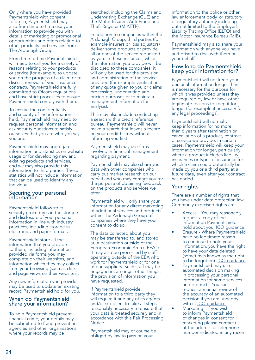Only where you have provided Paymentshield with consent to do so, Paymentshield may also from time to time use your information to provide you with details of marketing or promotional opportunities and offers relating to other products and services from The Ardonagh Group.

From time to time Paymentshield will need to call you for a variety of reasons relating to your products or service (for example, to update you on the progress of a claim or to discuss renewal of your insurance contract). Paymentshield are fully committed to Ofcom regulations and have strict processes to ensure Paymentshield comply with them.

To ensure the confidentiality and security of the information held, Paymentshield may need to request personal information and ask security questions to satisfy ourselves that you are who you say you are.

Paymentshield may aggregate information and statistics on website usage or for developing new and existing products and services, and we may also provide this information to third parties. These statistics will not include information that can be used to identify any individual.

#### Securing your personal information

Paymentshield follow strict security procedures in the storage and disclosure of your personal information in line with industry practices, including storage in electronic and paper formats.

Paymentshield store all the information that you provide to them, including information provided via forms you may complete on their websites, and information which they may collect from your browsing (such as clicks and page views on their websites).

Any new information you provide may be used to update an existing record Paymentshield hold for you.

#### When do Paymentshield share your information?

To help Paymentshield prevent financial crime, your details may be submitted to fraud prevention agencies and other organisations where your records may be

searched, including the Claims and Underwriting Exchange (CUE) and the Motor Insurers Anti-Fraud and Theft Register (MIAFTR).

In addition to companies within the Ardonagh Group, third parties (for example insurers or loss adjustors) deliver some products or provide all or part of the service requested by you. In these instances, while the information you provide will be disclosed to these companies, it will only be used for the provision and administration of the service provided (for example verification of any quote given to you or claims processing, underwriting and pricing purposes or to maintain management information for analysis).

This may also include conducting a search with a credit reference bureau. Paymentshield will never make a search that leaves a record on your credit history without informing you first.

Paymentshield may use firms involved in financial management regarding payment.

Paymentshield may also share your data with other companies who carry out market research on our behalf and who may contact you for the purpose of obtaining feedback on the products and services we offer.

Paymentshield will only share your information for any direct marketing of additional services and products within The Ardonagh Group of companies where they have your consent to do so.

The data collected about you may be transferred to, and stored at, a destination outside of the European Economic Area ("EEA"). It may also be processed by staff operating outside of the EEA who work for Paymentshield or for one of our suppliers. Such staff may be engaged in, amongst other things, the provision of information you have requested.

If Paymentshield provide information to a third party they will require it and any of its agents and/or suppliers to take all steps reasonably necessary to ensure that your data is treated securely and in accordance with this Fair Processing **Notice** 

Paymentshield may of course be obliged by law to pass on your

information to the police or other law enforcement body, or statutory or regulatory authority including but not limited to the Employer's Liability Tracing Office (ELTO) and the Motor Insurance Bureau (MIB).

Paymentshield may also share your information with anyone you have authorised to deal with them on your behalf.

#### How long do Paymentshield keep your information for?

Paymentshield will not keep your personal information longer than is necessary for the purpose for which it was provided unless they are required by law or have other legitimate reasons to keep it for longer (for example if necessary for any legal proceedings).

Paymentshield will normally keep information for no more than 6 years after termination or cancellation of a product, contract or service we provide. In certain cases, Paymentshield will keep your information for longer, particularly where a product includes liability insurances or types of insurance for which a claim could potentially be made by you or a third party at a future date, even after your contract has ended.

#### Your rights

There are a number of rights that you have under data protection law. Commonly exercised rights are:

- Access You may reasonably request a copy of the information Paymentshield hold about you. ICO guidance
- Erasure Where Paymentshield have no legitimate reason to continue to hold your information, you have the right to have your data deleted (sometimes known as the right to be forgotten). ICO quidance
- Paymentshield may use automated decision making in processing your personal information for some services and products. You can request a manual review of the accuracy of an automated decision if you are unhappy with it. ICO quidance
- Marketing If you wish to inform Paymentshield of changes in consent for marketing please contact us at the address or telephone number indicated in any recent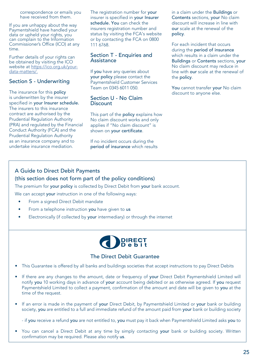correspondence or emails you have received from them.

If you are unhappy about the way Paymentshield have handled your data or upheld your rights, you can complain to the Information Commissioner's Office (ICO) at any time.

Further details of your rights can be obtained by visiting the ICO website at https://ico.org.uk/yourdata-matters/.

#### Section S - Underwriting

The insurance for this policy is underwritten by the insurer specified in your Insurer schedule. The insurers to this insurance contract are authorised by the Prudential Regulation Authority (PRA) and regulated by the Financial Conduct Authority (FCA) and the Prudential Regulation Authority as an insurance company and to undertake insurance mediation.

The registration number for your insurer is specified in your Insurer schedule. You can check the insurers registration number and status by visiting the FCA's website or by contacting the FCA on 0800 111 6768.

#### Section T - Enquiries and Assistance

If you have any queries about your policy please contact the Paymentshield Customer Services Team on 0345 6011 050.

#### Section U - No Claim **Discount**

This part of the policy explains how No claim discount works and only applies if "No claim discount" is shown on your certificate.

If no incident occurs during the period of insurance which results in a claim under the Buildings or Contents sections, your No claim discount will increase in line with our scale at the renewal of the policy.

For each incident that occurs during the period of insurance which results in a claim under the Buildings or Contents sections, your No claim discount may reduce in line with our scale at the renewal of the policy.

You cannot transfer your No claim discount to anyone else.

#### A Guide to Direct Debit Payments (this section does not form part of the policy conditions)

The premium for your policy is collected by Direct Debit from your bank account.

We can accept **your** instruction in one of the following ways:

- From a signed Direct Debit mandate
- From a telephone instruction you have given to us
- Electronically (if collected by your intermediary) or through the internet



#### The Direct Debit Guarantee

- This Guarantee is offered by all banks and buildings societies that accept instructions to pay Direct Debits
- If there are any changes to the amount, date or frequency of your Direct Debit Paymentshield Limited will notify you 10 working days in advance of your account being debited or as otherwise agreed. If you request Paymentshield Limited to collect a payment, confirmation of the amount and date will be given to you at the time of the request.
- If an error is made in the payment of your Direct Debit, by Paymentshield Limited or your bank or building society, you are entitled to a full and immediate refund of the amount paid from your bank or building society

- if you receive a refund you are not entitled to, you must pay it back when Paymentshield Limited asks you to

• You can cancel a Direct Debit at any time by simply contacting your bank or building society. Written confirmation may be required. Please also notify us.